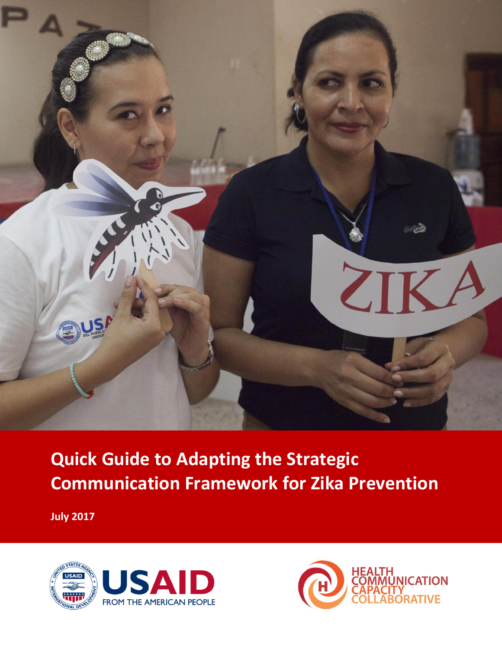

# **Quick Guide to Adapting the Strategic Communication Framework for Zika Prevention**

**July 2017**



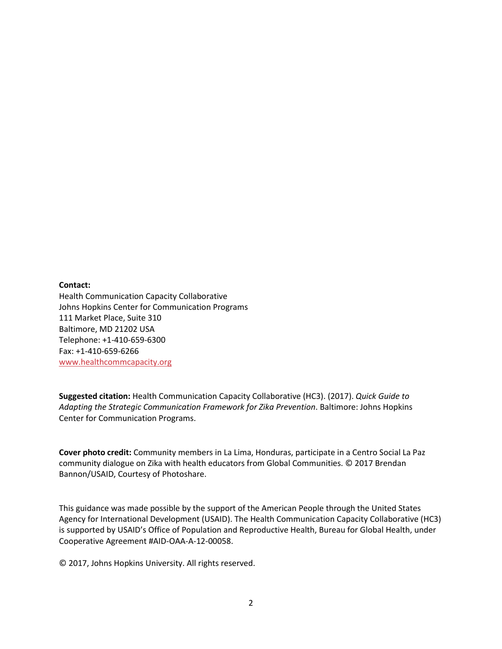#### **Contact:**

Health Communication Capacity Collaborative Johns Hopkins Center for Communication Programs 111 Market Place, Suite 310 Baltimore, MD 21202 USA Telephone: +1-410-659-6300 Fax: +1-410-659-6266 [www.healthcommcapacity.org](http://www.healthcommcapacity.org/)

**Suggested citation:** Health Communication Capacity Collaborative (HC3). (2017). *Quick Guide to Adapting the Strategic Communication Framework for Zika Prevention*. Baltimore: Johns Hopkins Center for Communication Programs.

**Cover photo credit:** Community members in La Lima, Honduras, participate in a Centro Social La Paz community dialogue on Zika with health educators from Global Communities. © 2017 Brendan Bannon/USAID, Courtesy of Photoshare.

This guidance was made possible by the support of the American People through the United States Agency for International Development (USAID). The Health Communication Capacity Collaborative (HC3) is supported by USAID's Office of Population and Reproductive Health, Bureau for Global Health, under Cooperative Agreement #AID-OAA-A-12-00058.

© 2017, Johns Hopkins University. All rights reserved.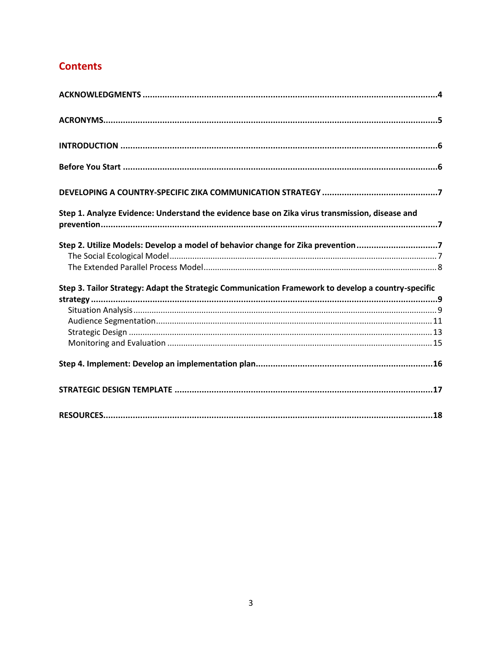# **Contents**

<span id="page-2-0"></span>

| Step 1. Analyze Evidence: Understand the evidence base on Zika virus transmission, disease and     |  |
|----------------------------------------------------------------------------------------------------|--|
| Step 2. Utilize Models: Develop a model of behavior change for Zika prevention7                    |  |
|                                                                                                    |  |
| Step 3. Tailor Strategy: Adapt the Strategic Communication Framework to develop a country-specific |  |
|                                                                                                    |  |
|                                                                                                    |  |
|                                                                                                    |  |
|                                                                                                    |  |
|                                                                                                    |  |
|                                                                                                    |  |
|                                                                                                    |  |
|                                                                                                    |  |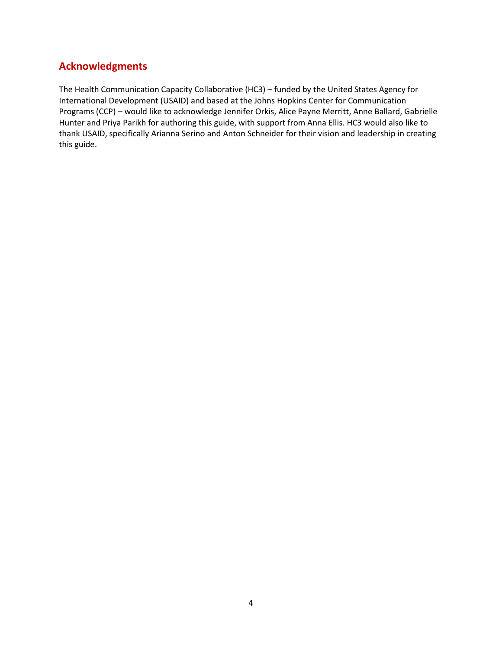# **Acknowledgments**

The Health Communication Capacity Collaborative (HC3) – funded by the United States Agency for International Development (USAID) and based at the Johns Hopkins Center for Communication Programs (CCP) – would like to acknowledge Jennifer Orkis, Alice Payne Merritt, Anne Ballard, Gabrielle Hunter and Priya Parikh for authoring this guide, with support from Anna Ellis. HC3 would also like to thank USAID, specifically Arianna Serino and Anton Schneider for their vision and leadership in creating this guide.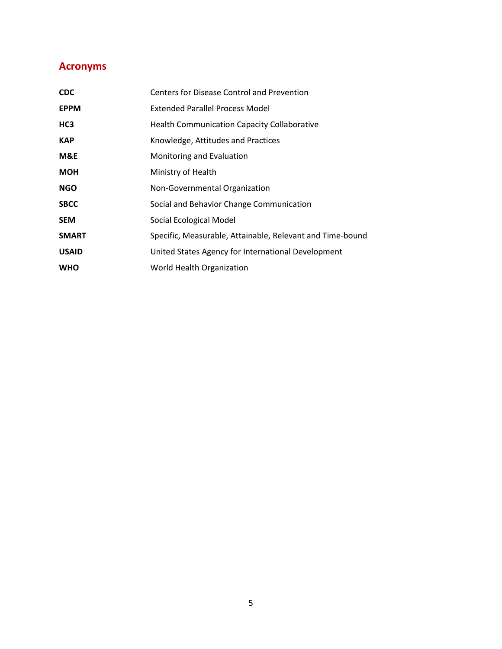# <span id="page-4-0"></span>**Acronyms**

| <b>CDC</b>   | Centers for Disease Control and Prevention                |
|--------------|-----------------------------------------------------------|
| <b>EPPM</b>  | <b>Extended Parallel Process Model</b>                    |
| HC3          | <b>Health Communication Capacity Collaborative</b>        |
| <b>KAP</b>   | Knowledge, Attitudes and Practices                        |
| M&E          | Monitoring and Evaluation                                 |
| <b>MOH</b>   | Ministry of Health                                        |
| <b>NGO</b>   | Non-Governmental Organization                             |
| <b>SBCC</b>  | Social and Behavior Change Communication                  |
| <b>SEM</b>   | Social Ecological Model                                   |
| <b>SMART</b> | Specific, Measurable, Attainable, Relevant and Time-bound |
| <b>USAID</b> | United States Agency for International Development        |
| <b>WHO</b>   | World Health Organization                                 |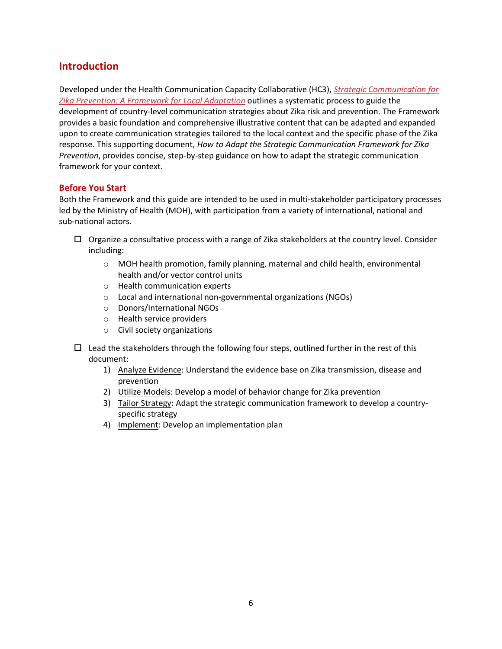# <span id="page-5-0"></span>**Introduction**

Developed under the Health Communication Capacity Collaborative (HC3), *[Strategic Communication for](http://www.zikacommunicationnetwork.org/resources/strategic-communication-zika-prevention-framework-local-adaptation)  [Zika Prevention: A Framework for Local Adaptation](http://www.zikacommunicationnetwork.org/resources/strategic-communication-zika-prevention-framework-local-adaptation)* outlines a systematic process to guide the development of country-level communication strategies about Zika risk and prevention. The Framework provides a basic foundation and comprehensive illustrative content that can be adapted and expanded upon to create communication strategies tailored to the local context and the specific phase of the Zika response. This supporting document, *How to Adapt the Strategic Communication Framework for Zika Prevention*, provides concise, step-by-step guidance on how to adapt the strategic communication framework for your context.

#### <span id="page-5-1"></span>**Before You Start**

Both the Framework and this guide are intended to be used in multi-stakeholder participatory processes led by the Ministry of Health (MOH), with participation from a variety of international, national and sub-national actors.

- $\Box$  Organize a consultative process with a range of Zika stakeholders at the country level. Consider including:
	- o MOH health promotion, family planning, maternal and child health, environmental health and/or vector control units
	- o Health communication experts
	- o Local and international non-governmental organizations (NGOs)
	- o Donors/International NGOs
	- o Health service providers
	- o Civil society organizations
- $\Box$  Lead the stakeholders through the following four steps, outlined further in the rest of this document:
	- 1) Analyze Evidence: Understand the evidence base on Zika transmission, disease and prevention
	- 2) Utilize Models: Develop a model of behavior change for Zika prevention
	- 3) Tailor Strategy: Adapt the strategic communication framework to develop a countryspecific strategy
	- 4) Implement: Develop an implementation plan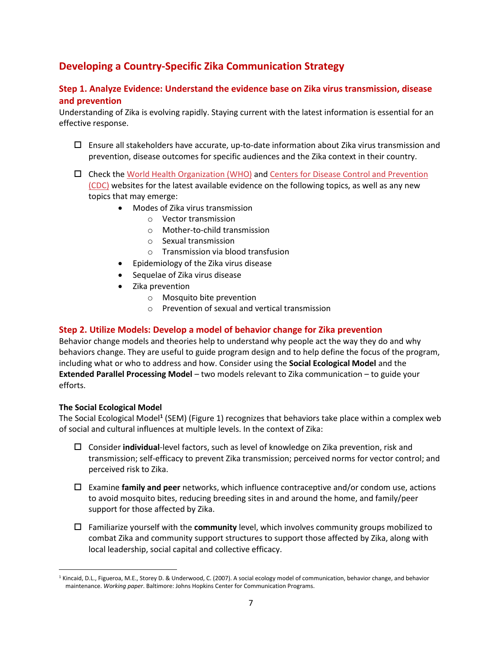# <span id="page-6-0"></span>**Developing a Country-Specific Zika Communication Strategy**

#### <span id="page-6-1"></span>**Step 1. Analyze Evidence: Understand the evidence base on Zika virus transmission, disease and prevention**

Understanding of Zika is evolving rapidly. Staying current with the latest information is essential for an effective response.

- $\Box$  Ensure all stakeholders have accurate, up-to-date information about Zika virus transmission and prevention, disease outcomes for specific audiences and the Zika context in their country.
- $\Box$  Check th[e World Health Organization \(WHO\)](http://www.who.int/csr/disease/zika/en/) and Centers for Disease Control and Prevention [\(CDC\)](https://www.cdc.gov/zika/) websites for the latest available evidence on the following topics, as well as any new topics that may emerge:
	- Modes of Zika virus transmission
		- o Vector transmission
		- o Mother-to-child transmission
		- o Sexual transmission
		- o Transmission via blood transfusion
	- Epidemiology of the Zika virus disease
	- Sequelae of Zika virus disease
	- Zika prevention
		- o Mosquito bite prevention
		- o Prevention of sexual and vertical transmission

#### <span id="page-6-2"></span>**Step 2. Utilize Models: Develop a model of behavior change for Zika prevention**

Behavior change models and theories help to understand why people act the way they do and why behaviors change. They are useful to guide program design and to help define the focus of the program, including what or who to address and how. Consider using the **Social Ecological Model** and the **Extended Parallel Processing Model** – two models relevant to Zika communication – to guide your efforts.

#### <span id="page-6-3"></span>**The Social Ecological Model**

 $\overline{a}$ 

The Social Ecological Model**<sup>1</sup>** (SEM) (Figure 1) recognizes that behaviors take place within a complex web of social and cultural influences at multiple levels. In the context of Zika:

- Consider **individual**-level factors, such as level of knowledge on Zika prevention, risk and transmission; self-efficacy to prevent Zika transmission; perceived norms for vector control; and perceived risk to Zika.
- Examine **family and peer** networks, which influence contraceptive and/or condom use, actions to avoid mosquito bites, reducing breeding sites in and around the home, and family/peer support for those affected by Zika.
- Familiarize yourself with the **community** level, which involves community groups mobilized to combat Zika and community support structures to support those affected by Zika, along with local leadership, social capital and collective efficacy.

<sup>&</sup>lt;sup>1</sup> Kincaid, D.L., Figueroa, M.E., Storey D. & Underwood, C. (2007). A social ecology model of communication, behavior change, and behavior maintenance. *Working paper*. Baltimore: Johns Hopkins Center for Communication Programs.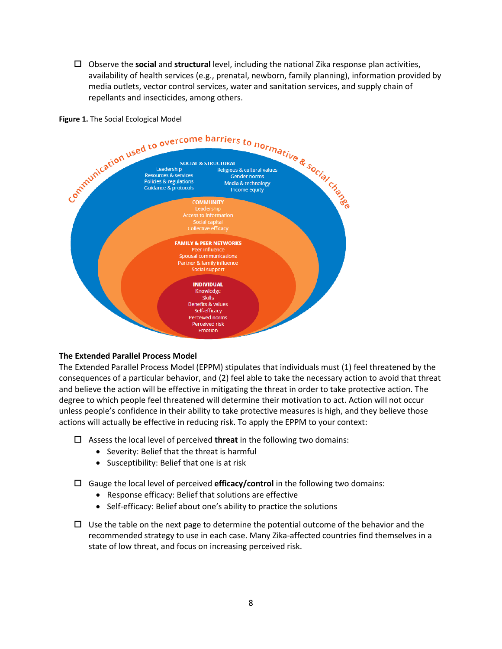Observe the **social** and **structural** level, including the national Zika response plan activities, availability of health services (e.g., prenatal, newborn, family planning), information provided by media outlets, vector control services, water and sanitation services, and supply chain of repellants and insecticides, among others.

**Figure 1.** The Social Ecological Model



#### <span id="page-7-0"></span>**The Extended Parallel Process Model**

The Extended Parallel Process Model (EPPM) stipulates that individuals must (1) feel threatened by the consequences of a particular behavior, and (2) feel able to take the necessary action to avoid that threat and believe the action will be effective in mitigating the threat in order to take protective action. The degree to which people feel threatened will determine their motivation to act. Action will not occur unless people's confidence in their ability to take protective measures is high, and they believe those actions will actually be effective in reducing risk. To apply the EPPM to your context:

- Assess the local level of perceived **threat** in the following two domains:
	- Severity: Belief that the threat is harmful
	- Susceptibility: Belief that one is at risk
- Gauge the local level of perceived **efficacy/control** in the following two domains:
	- Response efficacy: Belief that solutions are effective
	- Self-efficacy: Belief about one's ability to practice the solutions
- $\Box$  Use the table on the next page to determine the potential outcome of the behavior and the recommended strategy to use in each case. Many Zika-affected countries find themselves in a state of low threat, and focus on increasing perceived risk.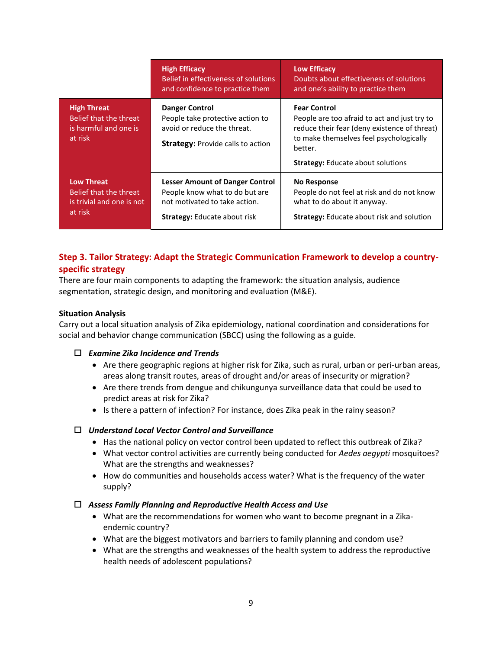|                                                                                     | <b>High Efficacy</b><br>Belief in effectiveness of solutions<br>and confidence to practice them                                                  | <b>Low Efficacy</b><br>Doubts about effectiveness of solutions<br>and one's ability to practice them                                                                                                                  |
|-------------------------------------------------------------------------------------|--------------------------------------------------------------------------------------------------------------------------------------------------|-----------------------------------------------------------------------------------------------------------------------------------------------------------------------------------------------------------------------|
| <b>High Threat</b><br>Belief that the threat<br>is harmful and one is<br>at risk    | <b>Danger Control</b><br>People take protective action to<br>avoid or reduce the threat.<br><b>Strategy: Provide calls to action</b>             | <b>Fear Control</b><br>People are too afraid to act and just try to<br>reduce their fear (deny existence of threat)<br>to make themselves feel psychologically<br>better.<br><b>Strategy:</b> Educate about solutions |
| <b>Low Threat</b><br>Belief that the threat<br>is trivial and one is not<br>at risk | <b>Lesser Amount of Danger Control</b><br>People know what to do but are<br>not motivated to take action.<br><b>Strategy:</b> Educate about risk | No Response<br>People do not feel at risk and do not know<br>what to do about it anyway.<br><b>Strategy:</b> Educate about risk and solution                                                                          |

## <span id="page-8-0"></span>**Step 3. Tailor Strategy: Adapt the Strategic Communication Framework to develop a countryspecific strategy**

There are four main components to adapting the framework: the situation analysis, audience segmentation, strategic design, and monitoring and evaluation (M&E).

#### <span id="page-8-1"></span>**Situation Analysis**

Carry out a local situation analysis of Zika epidemiology, national coordination and considerations for social and behavior change communication (SBCC) using the following as a guide.

#### *Examine Zika Incidence and Trends*

- Are there geographic regions at higher risk for Zika, such as rural, urban or peri-urban areas, areas along transit routes, areas of drought and/or areas of insecurity or migration?
- Are there trends from dengue and chikungunya surveillance data that could be used to predict areas at risk for Zika?
- Is there a pattern of infection? For instance, does Zika peak in the rainy season?

#### *Understand Local Vector Control and Surveillance*

- Has the national policy on vector control been updated to reflect this outbreak of Zika?
- What vector control activities are currently being conducted for *Aedes aegypti* mosquitoes? What are the strengths and weaknesses?
- How do communities and households access water? What is the frequency of the water supply?

#### *Assess Family Planning and Reproductive Health Access and Use*

- What are the recommendations for women who want to become pregnant in a Zikaendemic country?
- What are the biggest motivators and barriers to family planning and condom use?
- What are the strengths and weaknesses of the health system to address the reproductive health needs of adolescent populations?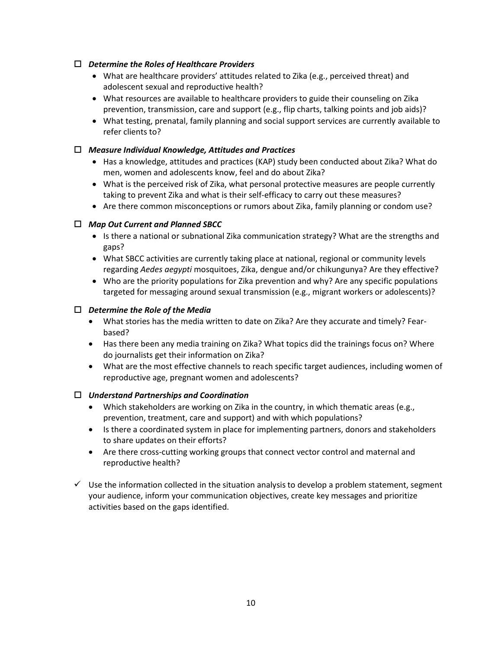#### *Determine the Roles of Healthcare Providers*

- What are healthcare providers' attitudes related to Zika (e.g., perceived threat) and adolescent sexual and reproductive health?
- What resources are available to healthcare providers to guide their counseling on Zika prevention, transmission, care and support (e.g., flip charts, talking points and job aids)?
- What testing, prenatal, family planning and social support services are currently available to refer clients to?

#### *Measure Individual Knowledge, Attitudes and Practices*

- Has a knowledge, attitudes and practices (KAP) study been conducted about Zika? What do men, women and adolescents know, feel and do about Zika?
- What is the perceived risk of Zika, what personal protective measures are people currently taking to prevent Zika and what is their self-efficacy to carry out these measures?
- Are there common misconceptions or rumors about Zika, family planning or condom use?

#### *Map Out Current and Planned SBCC*

- Is there a national or subnational Zika communication strategy? What are the strengths and gaps?
- What SBCC activities are currently taking place at national, regional or community levels regarding *Aedes aegypti* mosquitoes, Zika, dengue and/or chikungunya? Are they effective?
- Who are the priority populations for Zika prevention and why? Are any specific populations targeted for messaging around sexual transmission (e.g., migrant workers or adolescents)?

#### *Determine the Role of the Media*

- What stories has the media written to date on Zika? Are they accurate and timely? Fearbased?
- Has there been any media training on Zika? What topics did the trainings focus on? Where do journalists get their information on Zika?
- What are the most effective channels to reach specific target audiences, including women of reproductive age, pregnant women and adolescents?

#### *Understand Partnerships and Coordination*

- Which stakeholders are working on Zika in the country, in which thematic areas (e.g., prevention, treatment, care and support) and with which populations?
- Is there a coordinated system in place for implementing partners, donors and stakeholders to share updates on their efforts?
- Are there cross-cutting working groups that connect vector control and maternal and reproductive health?
- <span id="page-9-0"></span> $\checkmark$  Use the information collected in the situation analysis to develop a problem statement, segment your audience, inform your communication objectives, create key messages and prioritize activities based on the gaps identified.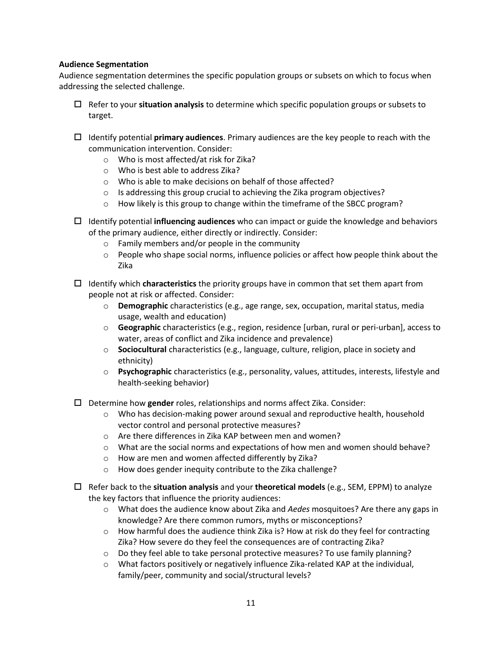#### **Audience Segmentation**

Audience segmentation determines the specific population groups or subsets on which to focus when addressing the selected challenge.

- Refer to your **situation analysis** to determine which specific population groups or subsets to target.
- Identify potential **primary audiences**. Primary audiences are the key people to reach with the communication intervention. Consider:
	- o Who is most affected/at risk for Zika?
	- o Who is best able to address Zika?
	- o Who is able to make decisions on behalf of those affected?
	- o Is addressing this group crucial to achieving the Zika program objectives?
	- $\circ$  How likely is this group to change within the timeframe of the SBCC program?
- Identify potential **influencing audiences** who can impact or guide the knowledge and behaviors of the primary audience, either directly or indirectly. Consider:
	- o Family members and/or people in the community
	- $\circ$  People who shape social norms, influence policies or affect how people think about the Zika
- Identify which **characteristics** the priority groups have in common that set them apart from people not at risk or affected. Consider:
	- o **Demographic** characteristics (e.g., age range, sex, occupation, marital status, media usage, wealth and education)
	- o **Geographic** characteristics (e.g., region, residence [urban, rural or peri-urban], access to water, areas of conflict and Zika incidence and prevalence)
	- o **Sociocultural** characteristics (e.g., language, culture, religion, place in society and ethnicity)
	- o **Psychographic** characteristics (e.g., personality, values, attitudes, interests, lifestyle and health-seeking behavior)
- Determine how **gender** roles, relationships and norms affect Zika. Consider:
	- o Who has decision-making power around sexual and reproductive health, household vector control and personal protective measures?
	- o Are there differences in Zika KAP between men and women?
	- o What are the social norms and expectations of how men and women should behave?
	- o How are men and women affected differently by Zika?
	- o How does gender inequity contribute to the Zika challenge?
- Refer back to the **situation analysis** and your **theoretical models** (e.g., SEM, EPPM) to analyze the key factors that influence the priority audiences:
	- o What does the audience know about Zika and *Aedes* mosquitoes? Are there any gaps in knowledge? Are there common rumors, myths or misconceptions?
	- $\circ$  How harmful does the audience think Zika is? How at risk do they feel for contracting Zika? How severe do they feel the consequences are of contracting Zika?
	- $\circ$  Do they feel able to take personal protective measures? To use family planning?
	- $\circ$  What factors positively or negatively influence Zika-related KAP at the individual, family/peer, community and social/structural levels?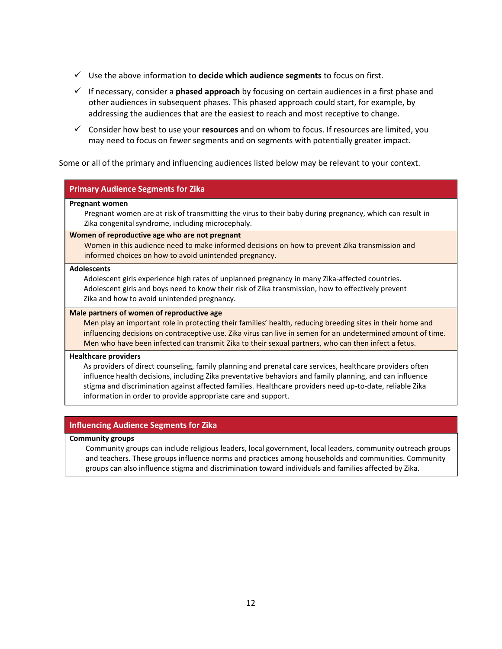- Use the above information to **decide which audience segments** to focus on first.
- If necessary, consider a **phased approach** by focusing on certain audiences in a first phase and other audiences in subsequent phases. This phased approach could start, for example, by addressing the audiences that are the easiest to reach and most receptive to change.
- Consider how best to use your **resources** and on whom to focus. If resources are limited, you may need to focus on fewer segments and on segments with potentially greater impact.

Some or all of the primary and influencing audiences listed below may be relevant to your context.

#### **Primary Audience Segments for Zika**

#### **Pregnant women**

Pregnant women are at risk of transmitting the virus to their baby during pregnancy, which can result in Zika congenital syndrome, including microcephaly.

#### **Women of reproductive age who are not pregnant**

Women in this audience need to make informed decisions on how to prevent Zika transmission and informed choices on how to avoid unintended pregnancy.

#### **Adolescents**

Adolescent girls experience high rates of unplanned pregnancy in many Zika-affected countries. Adolescent girls and boys need to know their risk of Zika transmission, how to effectively prevent Zika and how to avoid unintended pregnancy.

#### **Male partners of women of reproductive age**

Men play an important role in protecting their families' health, reducing breeding sites in their home and influencing decisions on contraceptive use. Zika virus can live in semen for an undetermined amount of time. Men who have been infected can transmit Zika to their sexual partners, who can then infect a fetus.

#### **Healthcare providers**

As providers of direct counseling, family planning and prenatal care services, healthcare providers often influence health decisions, including Zika preventative behaviors and family planning, and can influence stigma and discrimination against affected families. Healthcare providers need up-to-date, reliable Zika information in order to provide appropriate care and support.

#### **Influencing Audience Segments for Zika**

#### **Community groups**

Community groups can include religious leaders, local government, local leaders, community outreach groups and teachers. These groups influence norms and practices among households and communities. Community groups can also influence stigma and discrimination toward individuals and families affected by Zika.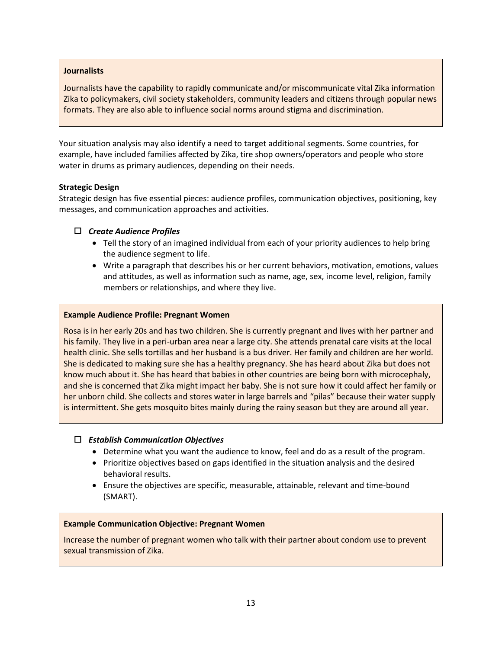#### **Journalists**

Journalists have the capability to rapidly communicate and/or miscommunicate vital Zika information Zika to policymakers, civil society stakeholders, community leaders and citizens through popular news formats. They are also able to influence social norms around stigma and discrimination.

Your situation analysis may also identify a need to target additional segments. Some countries, for example, have included families affected by Zika, tire shop owners/operators and people who store water in drums as primary audiences, depending on their needs.

#### <span id="page-12-0"></span>**Strategic Design**

Strategic design has five essential pieces: audience profiles, communication objectives, positioning, key messages, and communication approaches and activities.

#### *Create Audience Profiles*

- Tell the story of an imagined individual from each of your priority audiences to help bring the audience segment to life.
- Write a paragraph that describes his or her current behaviors, motivation, emotions, values and attitudes, as well as information such as name, age, sex, income level, religion, family members or relationships, and where they live.

#### **Example Audience Profile: Pregnant Women**

Rosa is in her early 20s and has two children. She is currently pregnant and lives with her partner and his family. They live in a peri-urban area near a large city. She attends prenatal care visits at the local health clinic. She sells tortillas and her husband is a bus driver. Her family and children are her world. She is dedicated to making sure she has a healthy pregnancy. She has heard about Zika but does not know much about it. She has heard that babies in other countries are being born with microcephaly, and she is concerned that Zika might impact her baby. She is not sure how it could affect her family or her unborn child. She collects and stores water in large barrels and "pilas" because their water supply is intermittent. She gets mosquito bites mainly during the rainy season but they are around all year.

#### *Establish Communication Objectives*

- Determine what you want the audience to know, feel and do as a result of the program.
- Prioritize objectives based on gaps identified in the situation analysis and the desired behavioral results.
- Ensure the objectives are specific, measurable, attainable, relevant and time-bound (SMART).

#### **Example Communication Objective: Pregnant Women**

Increase the number of pregnant women who talk with their partner about condom use to prevent sexual transmission of Zika.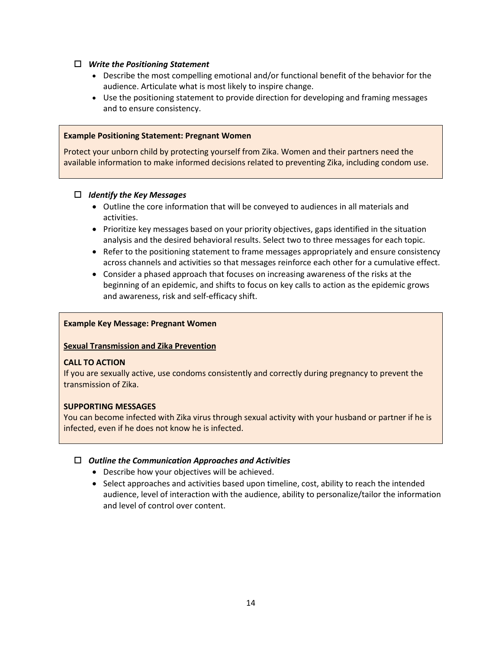#### *Write the Positioning Statement*

- Describe the most compelling [emotional](http://www.thehealthcompass.org/how-to-guides/how-create-brand-strategy-part-2-developing-positioning-branded-product-service-or#emotional) and/or [functional](http://www.thehealthcompass.org/how-to-guides/how-create-brand-strategy-part-2-developing-positioning-branded-product-service-or#functional) benefit of the behavior for the audience. Articulate what is most likely to inspire change.
- Use the positioning statement to provide direction for developing and framing messages and to ensure consistency.

#### **Example Positioning Statement: Pregnant Women**

Protect your unborn child by protecting yourself from Zika. Women and their partners need the available information to make informed decisions related to preventing Zika, including condom use.

#### *Identify the Key Messages*

- Outline the core information that will be conveyed to audiences in all materials and activities.
- Prioritize key messages based on your priority objectives, gaps identified in the situation analysis and the desired behavioral results. Select two to three messages for each topic.
- Refer to the positioning statement to frame messages appropriately and ensure consistency across channels and activities so that messages reinforce each other for a cumulative effect.
- Consider a phased approach that focuses on increasing awareness of the risks at the beginning of an epidemic, and shifts to focus on key calls to action as the epidemic grows and awareness, risk and self-efficacy shift.

#### **Example Key Message: Pregnant Women**

#### **Sexual Transmission and Zika Prevention**

#### **CALL TO ACTION**

If you are sexually active, use condoms consistently and correctly during pregnancy to prevent the transmission of Zika.

#### **SUPPORTING MESSAGES**

You can become infected with Zika virus through sexual activity with your husband or partner if he is infected, even if he does not know he is infected.

#### *Outline the Communication Approaches and Activities*

- Describe how your objectives will be achieved.
- Select approaches and activities based upon timeline, cost, ability to reach the intended audience, level of interaction with the audience, ability to personalize/tailor the information and level of control over content.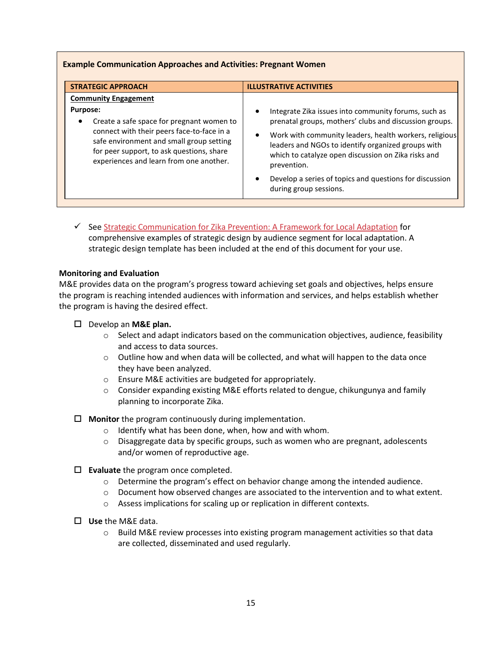| <b>Example Communication Approaches and Activities: Pregnant Women</b>                                                                                                                                                                                                                     |                                                                                                                                                                                                                                                                                                                                                                                                                     |  |
|--------------------------------------------------------------------------------------------------------------------------------------------------------------------------------------------------------------------------------------------------------------------------------------------|---------------------------------------------------------------------------------------------------------------------------------------------------------------------------------------------------------------------------------------------------------------------------------------------------------------------------------------------------------------------------------------------------------------------|--|
| <b>STRATEGIC APPROACH</b>                                                                                                                                                                                                                                                                  | <b>ILLUSTRATIVE ACTIVITIES</b>                                                                                                                                                                                                                                                                                                                                                                                      |  |
| <b>Community Engagement</b><br><b>Purpose:</b><br>Create a safe space for pregnant women to<br>$\bullet$<br>connect with their peers face-to-face in a<br>safe environment and small group setting<br>for peer support, to ask questions, share<br>experiences and learn from one another. | Integrate Zika issues into community forums, such as<br>$\bullet$<br>prenatal groups, mothers' clubs and discussion groups.<br>Work with community leaders, health workers, religious<br>$\bullet$<br>leaders and NGOs to identify organized groups with<br>which to catalyze open discussion on Zika risks and<br>prevention.<br>Develop a series of topics and questions for discussion<br>during group sessions. |  |

 $\checkmark$  See [Strategic Communication for Zika Prevention: A Framework for Local Adaptation](https://healthcommcapacity.org/hc3resources/strategic-communication-zika-prevention-framework-local-adaptation/) for comprehensive examples of strategic design by audience segment for local adaptation. A strategic design template has been included at the end of this document for your use.

#### <span id="page-14-0"></span>**Monitoring and Evaluation**

M&E provides data on the program's progress toward achieving set goals and objectives, helps ensure the program is reaching intended audiences with information and services, and helps establish whether the program is having the desired effect.

- Develop an **M&E plan.**
	- $\circ$  Select and adapt indicators based on the communication objectives, audience, feasibility and access to data sources.
	- $\circ$  Outline how and when data will be collected, and what will happen to the data once they have been analyzed.
	- o Ensure M&E activities are budgeted for appropriately.
	- $\circ$  Consider expanding existing M&E efforts related to dengue, chikungunya and family planning to incorporate Zika.
- **Monitor** the program continuously during implementation.
	- o Identify what has been done, when, how and with whom.
	- $\circ$  Disaggregate data by specific groups, such as women who are pregnant, adolescents and/or women of reproductive age.
- **Evaluate** the program once completed.
	- o Determine the program's effect on behavior change among the intended audience.
	- $\circ$  Document how observed changes are associated to the intervention and to what extent.
	- o Assess implications for scaling up or replication in different contexts.
- **Use** the M&E data.
	- $\circ$  Build M&E review processes into existing program management activities so that data are collected, disseminated and used regularly.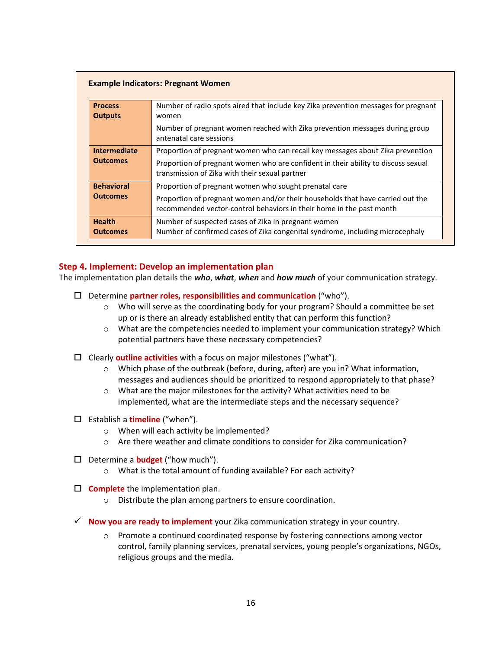| <b>Process</b>                   | Number of radio spots aired that include key Zika prevention messages for pregnant                                                                     |
|----------------------------------|--------------------------------------------------------------------------------------------------------------------------------------------------------|
| <b>Outputs</b>                   | women                                                                                                                                                  |
|                                  | Number of pregnant women reached with Zika prevention messages during group<br>antenatal care sessions                                                 |
| <b>Intermediate</b>              | Proportion of pregnant women who can recall key messages about Zika prevention                                                                         |
| <b>Outcomes</b>                  | Proportion of pregnant women who are confident in their ability to discuss sexual<br>transmission of Zika with their sexual partner                    |
| <b>Behavioral</b>                | Proportion of pregnant women who sought prenatal care                                                                                                  |
| <b>Outcomes</b>                  | Proportion of pregnant women and/or their households that have carried out the<br>recommended vector-control behaviors in their home in the past month |
| <b>Health</b><br><b>Outcomes</b> | Number of suspected cases of Zika in pregnant women<br>Number of confirmed cases of Zika congenital syndrome, including microcephaly                   |

#### <span id="page-15-0"></span>**Step 4. Implement: Develop an implementation plan**

The implementation plan details the *who*, *what*, *when* and *how much* of your communication strategy.

- Determine **partner roles, responsibilities and communication** ("who").
	- o Who will serve as the coordinating body for your program? Should a committee be set up or is there an already established entity that can perform this function?
	- o What are the competencies needed to implement your communication strategy? Which potential partners have these necessary competencies?
- Clearly **outline activities** with a focus on major milestones ("what").
	- $\circ$  Which phase of the outbreak (before, during, after) are you in? What information, messages and audiences should be prioritized to respond appropriately to that phase?
	- $\circ$  What are the major milestones for the activity? What activities need to be implemented, what are the intermediate steps and the necessary sequence?
- Establish a **timeline** ("when").
	- o When will each activity be implemented?
	- o Are there weather and climate conditions to consider for Zika communication?
- Determine a **budget** ("how much").
	- o What is the total amount of funding available? For each activity?
- **Complete** the implementation plan.
	- o Distribute the plan among partners to ensure coordination.
- **Now you are ready to implement** your Zika communication strategy in your country.
	- o Promote a continued coordinated response by fostering connections among vector control, family planning services, prenatal services, young people's organizations, NGOs, religious groups and the media.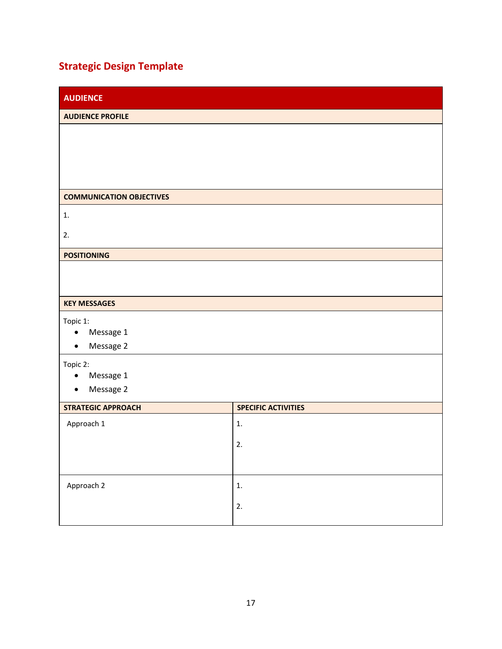# <span id="page-16-0"></span>**Strategic Design Template**

| <b>AUDIENCE</b>                     |                            |  |
|-------------------------------------|----------------------------|--|
| <b>AUDIENCE PROFILE</b>             |                            |  |
|                                     |                            |  |
|                                     |                            |  |
|                                     |                            |  |
|                                     |                            |  |
| <b>COMMUNICATION OBJECTIVES</b>     |                            |  |
| 1.                                  |                            |  |
| 2.                                  |                            |  |
|                                     |                            |  |
| <b>POSITIONING</b>                  |                            |  |
|                                     |                            |  |
|                                     |                            |  |
| <b>KEY MESSAGES</b>                 |                            |  |
| Topic 1:                            |                            |  |
| Message 1<br>Message 2<br>$\bullet$ |                            |  |
|                                     |                            |  |
| Topic 2:<br>Message 1<br>$\bullet$  |                            |  |
| Message 2<br>$\bullet$              |                            |  |
| <b>STRATEGIC APPROACH</b>           | <b>SPECIFIC ACTIVITIES</b> |  |
| Approach 1                          | 1.                         |  |
|                                     |                            |  |
|                                     | 2.                         |  |
|                                     |                            |  |
| Approach 2                          | 1.                         |  |
|                                     | 2.                         |  |
|                                     |                            |  |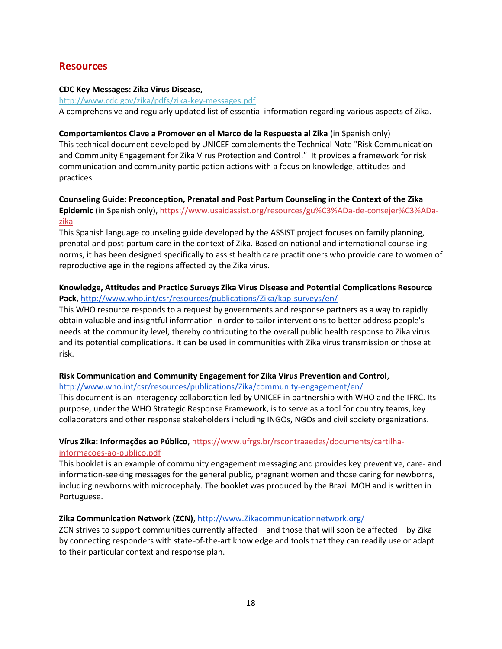## <span id="page-17-0"></span>**Resources**

#### **CDC Key Messages: Zika Virus Disease,**

<http://www.cdc.gov/zika/pdfs/zika-key-messages.pdf> A comprehensive and regularly updated list of essential information regarding various aspects of Zika.

# **Comportamientos Clave a Promover en el Marco de la Respuesta al Zika** (in Spanish only)

This technical document developed by UNICEF complements the Technical Note "Risk Communication and Community Engagement for Zika Virus Protection and Control." It provides a framework for risk communication and community participation actions with a focus on knowledge, attitudes and practices.

#### **Counseling Guide: Preconception, Prenatal and Post Partum Counseling in the Context of the Zika Epidemic** (in Spanish only), [https://www.usaidassist.org/resources/gu%C3%ADa-de-consejer%C3%ADa](https://www.usaidassist.org/resources/gu%C3%ADa-de-consejer%C3%ADa-zika)[zika](https://www.usaidassist.org/resources/gu%C3%ADa-de-consejer%C3%ADa-zika)

This Spanish language counseling guide developed by the ASSIST project focuses on family planning, prenatal and post-partum care in the context of Zika. Based on national and international counseling norms, it has been designed specifically to assist health care practitioners who provide care to women of reproductive age in the regions affected by the Zika virus.

#### **Knowledge, Attitudes and Practice Surveys Zika Virus Disease and Potential Complications Resource Pack**, [http://www.who.int/csr/resources/publications/Zika/kap-surveys/en/](http://www.who.int/csr/resources/publications/zika/kap-surveys/en/)

This WHO resource responds to a request by governments and response partners as a way to rapidly obtain valuable and insightful information in order to tailor interventions to better address people's needs at the community level, thereby contributing to the overall public health response to Zika virus and its potential complications. It can be used in communities with Zika virus transmission or those at risk.

#### **Risk Communication and Community Engagement for Zika Virus Prevention and Control**,

#### [http://www.who.int/csr/resources/publications/Zika/community-engagement/en/](http://www.who.int/csr/resources/publications/zika/community-engagement/en/)

This document is an interagency collaboration led by UNICEF in partnership with WHO and the IFRC. Its purpose, under the WHO Strategic Response Framework, is to serve as a tool for country teams, key collaborators and other response stakeholders including INGOs, NGOs and civil society organizations.

#### **Vírus Zika: Informações ao Público**, [https://www.ufrgs.br/rscontraaedes/documents/cartilha](https://www.ufrgs.br/rscontraaedes/documents/cartilha-informacoes-ao-publico.pdf)[informacoes-ao-publico.pdf](https://www.ufrgs.br/rscontraaedes/documents/cartilha-informacoes-ao-publico.pdf)

This booklet is an example of community engagement messaging and provides key preventive, care- and information-seeking messages for the general public, pregnant women and those caring for newborns, including newborns with microcephaly. The booklet was produced by the Brazil MOH and is written in Portuguese.

#### **Zika Communication Network (ZCN)**, [http://www.Zikacommunicationnetwork.org/](http://www.zikacommunicationnetwork.org/)

ZCN strives to support communities currently affected – and those that will soon be affected – by Zika by connecting responders with state-of-the-art knowledge and tools that they can readily use or adapt to their particular context and response plan.